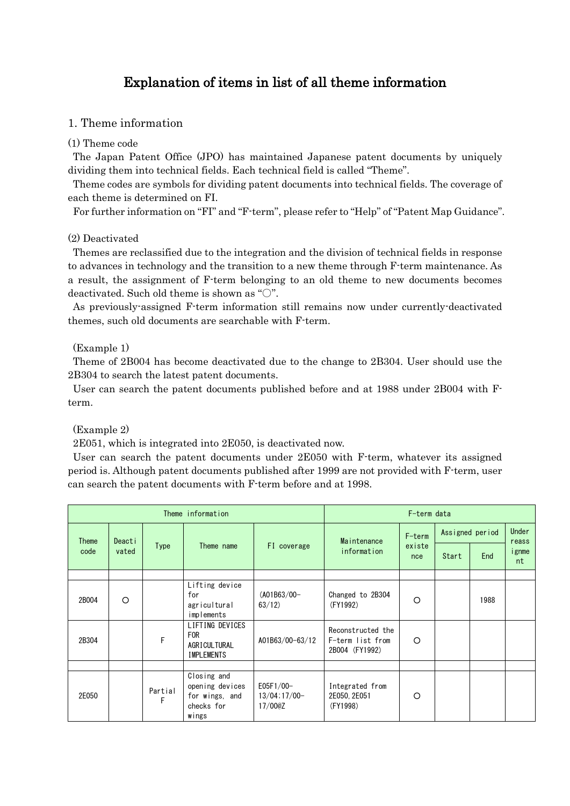# Explanation of items in list of all theme information

## 1. Theme information

### (1) Theme code

The Japan Patent Office (JPO) has maintained Japanese patent documents by uniquely dividing them into technical fields. Each technical field is called "Theme".

Theme codes are symbols for dividing patent documents into technical fields. The coverage of each theme is determined on FI.

For further information on "FI" and "F-term", please refer to "Help" of "Patent Map Guidance".

### (2) Deactivated

Themes are reclassified due to the integration and the division of technical fields in response to advances in technology and the transition to a new theme through F-term maintenance. As a result, the assignment of F-term belonging to an old theme to new documents becomes deactivated. Such old theme is shown as "○".

As previously-assigned F-term information still remains now under currently-deactivated themes, such old documents are searchable with F-term.

### (Example 1)

Theme of 2B004 has become deactivated due to the change to 2B304. User should use the 2B304 to search the latest patent documents.

User can search the patent documents published before and at 1988 under 2B004 with Fterm.

(Example 2)

2E051, which is integrated into 2E050, is deactivated now.

User can search the patent documents under 2E050 with F-term, whatever its assigned period is. Although patent documents published after 1999 are not provided with F-term, user can search the patent documents with F-term before and at 1998.

| Theme information |          |              |                                                                         | F-term data                              |                                                         |                         |                 |      |                              |
|-------------------|----------|--------------|-------------------------------------------------------------------------|------------------------------------------|---------------------------------------------------------|-------------------------|-----------------|------|------------------------------|
| <b>Theme</b>      | Deacti   |              |                                                                         |                                          | Maintenance                                             | F-term<br>existe<br>nce | Assigned period |      | <b>Under</b>                 |
| code              | vated    | <b>Type</b>  | Theme name                                                              | FI coverage                              | information                                             |                         | Start           | End  | reass<br><i>i</i> gnme<br>nt |
|                   |          |              |                                                                         |                                          |                                                         |                         |                 |      |                              |
| 2B004             | $\Omega$ |              | Lifting device<br>for<br>agricultural<br>implements                     | $(A01B63/00-$<br>63/12                   | Changed to 2B304<br>(FY1992)                            | O                       |                 | 1988 |                              |
| 2B304             |          | F            | LIFTING DEVICES<br><b>FOR</b><br>AGRICULTURAL<br><b>IMPLEMENTS</b>      | A01B63/00-63/12                          | Reconstructed the<br>F-term list from<br>2B004 (FY1992) | O                       |                 |      |                              |
|                   |          |              |                                                                         |                                          |                                                         |                         |                 |      |                              |
| 2E050             |          | Partial<br>F | Closing and<br>opening devices<br>for wings, and<br>checks for<br>wings | $E05F1/00-$<br>$13/04:17/00-$<br>17/00@Z | Integrated from<br>2E050, 2E051<br>(FY1998)             | $\Omega$                |                 |      |                              |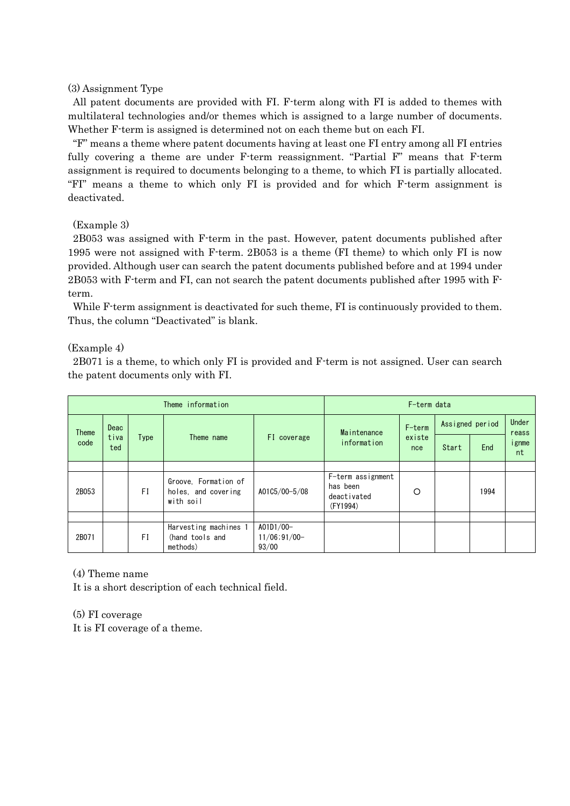### (3) Assignment Type

All patent documents are provided with FI. F-term along with FI is added to themes with multilateral technologies and/or themes which is assigned to a large number of documents. Whether F-term is assigned is determined not on each theme but on each FI.

"F" means a theme where patent documents having at least one FI entry among all FI entries fully covering a theme are under F-term reassignment. "Partial F" means that F-term assignment is required to documents belonging to a theme, to which FI is partially allocated. "FI" means a theme to which only FI is provided and for which F-term assignment is deactivated.

#### (Example 3)

2B053 was assigned with F-term in the past. However, patent documents published after 1995 were not assigned with F-term. 2B053 is a theme (FI theme) to which only FI is now provided. Although user can search the patent documents published before and at 1994 under 2B053 with F-term and FI, can not search the patent documents published after 1995 with Fterm.

While F-term assignment is deactivated for such theme, FI is continuously provided to them. Thus, the column "Deactivated" is blank.

#### (Example 4)

2B071 is a theme, to which only FI is provided and F-term is not assigned. User can search the patent documents only with FI.

| Theme information |                                                                                        |               |                                                          | F-term data                            |                                                          |        |                 |      |                |
|-------------------|----------------------------------------------------------------------------------------|---------------|----------------------------------------------------------|----------------------------------------|----------------------------------------------------------|--------|-----------------|------|----------------|
| <b>Theme</b>      | Deac<br>Maintenance<br>tiva<br>FI coverage<br>Type<br>Theme name<br>information<br>ted |               |                                                          |                                        |                                                          | F-term | Assigned period |      | Under<br>reass |
| code              |                                                                                        | existe<br>nce | Start                                                    | End                                    | ignme<br>nt                                              |        |                 |      |                |
|                   |                                                                                        |               |                                                          |                                        |                                                          |        |                 |      |                |
| 2B053             |                                                                                        | FI            | Groove, Formation of<br>holes, and covering<br>with soil | A01C5/00-5/08                          | F-term assignment<br>has been<br>deactivated<br>(FY1994) | O      |                 | 1994 |                |
|                   |                                                                                        |               |                                                          |                                        |                                                          |        |                 |      |                |
| 2B071             |                                                                                        | FI            | Harvesting machines 1<br>(hand tools and<br>methods)     | A01D1/00-<br>$11/06$ ; 91/00-<br>93/00 |                                                          |        |                 |      |                |

### (4) Theme name

It is a short description of each technical field.

(5) FI coverage

It is FI coverage of a theme.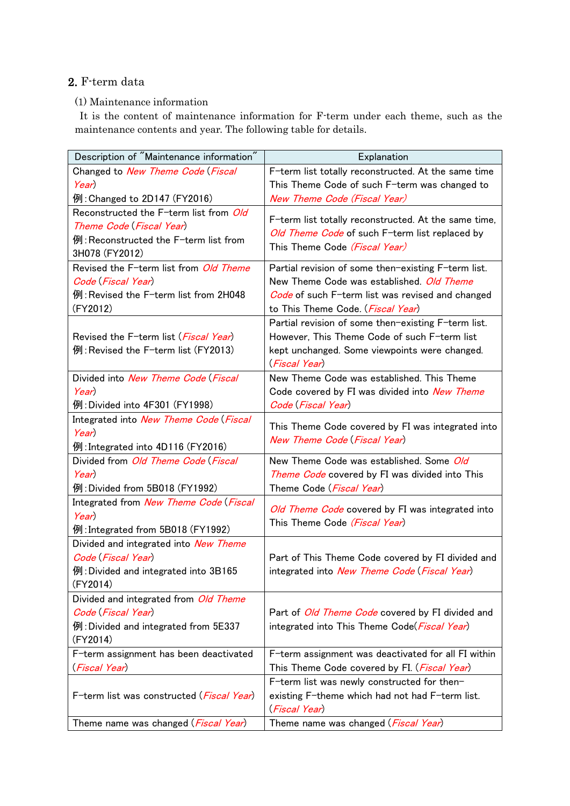# 2. F-term data

## (1) Maintenance information

It is the content of maintenance information for F-term under each theme, such as the maintenance contents and year. The following table for details.

| Description of "Maintenance information"       | Explanation                                           |
|------------------------------------------------|-------------------------------------------------------|
| Changed to New Theme Code (Fiscal              | F-term list totally reconstructed. At the same time   |
| Year)                                          | This Theme Code of such F-term was changed to         |
| 例: Changed to 2D147 (FY2016)                   | New Theme Code (Fiscal Year)                          |
| Reconstructed the F-term list from Old         |                                                       |
| Theme Code (Fiscal Year)                       | F-term list totally reconstructed. At the same time,  |
| 例:Reconstructed the F-term list from           | Old Theme Code of such F-term list replaced by        |
| 3H078 (FY2012)                                 | This Theme Code (Fiscal Year)                         |
| Revised the F-term list from Old Theme         | Partial revision of some then-existing F-term list.   |
| Code (Fiscal Year)                             | New Theme Code was established. Old Theme             |
| 例:Revised the F-term list from 2H048           | Code of such F-term list was revised and changed      |
| (FY2012)                                       | to This Theme Code <i>. (Fiscal Year</i> )            |
|                                                | Partial revision of some then-existing F-term list.   |
| Revised the F-term list ( <i>Fiscal Year</i> ) | However, This Theme Code of such F-term list          |
| 例:Revised the F-term list (FY2013)             | kept unchanged. Some viewpoints were changed.         |
|                                                | (Fiscal Year)                                         |
| Divided into New Theme Code (Fiscal            | New Theme Code was established. This Theme            |
| Year)                                          | Code covered by FI was divided into New Theme         |
| 例: Divided into 4F301 (FY1998)                 | Code (Fiscal Year)                                    |
| Integrated into New Theme Code (Fiscal         |                                                       |
| Year)                                          | This Theme Code covered by FI was integrated into     |
| 例: Integrated into 4D116 (FY2016)              | New Theme Code (Fiscal Year)                          |
| Divided from Old Theme Code (Fiscal            | New Theme Code was established. Some Old              |
| Year)                                          | Theme Code covered by FI was divided into This        |
| 例: Divided from 5B018 (FY1992)                 | Theme Code (Fiscal Year)                              |
| Integrated from New Theme Code (Fiscal         |                                                       |
| Year)                                          | Old Theme Code covered by FI was integrated into      |
| 例: Integrated from 5B018 (FY1992)              | This Theme Code <i>(Fiscal Year</i> )                 |
| Divided and integrated into New Theme          |                                                       |
| Code (Fiscal Year)                             | Part of This Theme Code covered by FI divided and     |
| 例: Divided and integrated into $3B165$         | integrated into New Theme Code (Fiscal Year)          |
| (FY2014)                                       |                                                       |
| Divided and integrated from <i>Old Theme</i>   |                                                       |
| Code (Fiscal Year)                             | Part of Old Theme Code covered by FI divided and      |
| 例: Divided and integrated from 5E337           | integrated into This Theme Code(Fiscal Year)          |
| (FY2014)                                       |                                                       |
| F-term assignment has been deactivated         | F-term assignment was deactivated for all FI within   |
| (Fiscal Year)                                  | This Theme Code covered by FI. ( <i>Fiscal Year</i> ) |
|                                                | F-term list was newly constructed for then-           |
| F-term list was constructed (Fiscal Year)      | existing F-theme which had not had F-term list.       |
|                                                | (Fiscal Year)                                         |
| Theme name was changed ( <i>Fiscal Year</i> )  | Theme name was changed (Fiscal Year)                  |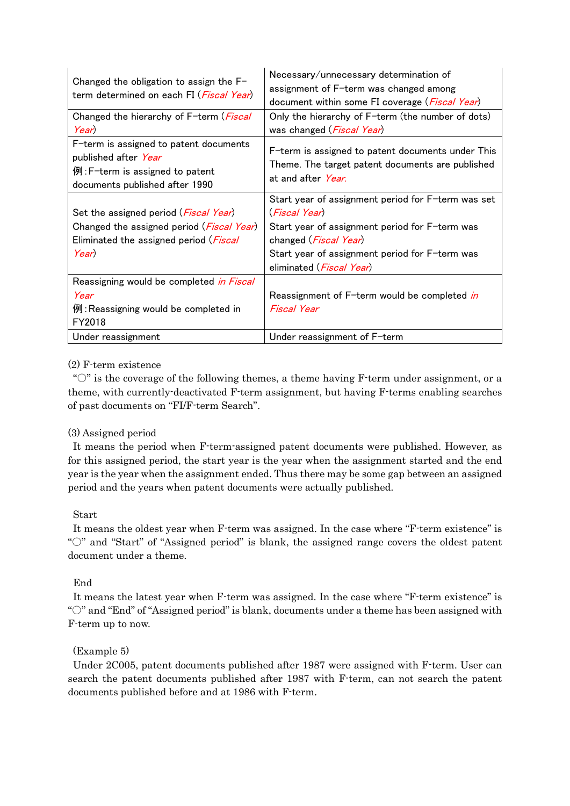|                                                                                                | Necessary/unnecessary determination of                  |  |  |  |  |
|------------------------------------------------------------------------------------------------|---------------------------------------------------------|--|--|--|--|
| Changed the obligation to assign the $F-$<br>term determined on each FI ( <i>Fiscal Year</i> ) | assignment of F-term was changed among                  |  |  |  |  |
|                                                                                                | document within some FI coverage ( <i>Fiscal Year</i> ) |  |  |  |  |
| Changed the hierarchy of F-term ( <i>Fiscal</i>                                                | Only the hierarchy of F-term (the number of dots)       |  |  |  |  |
| Year)                                                                                          | was changed ( <i>Fiscal Year</i> )                      |  |  |  |  |
| F-term is assigned to patent documents                                                         | F-term is assigned to patent documents under This       |  |  |  |  |
| published after <i>Year</i>                                                                    | Theme. The target patent documents are published        |  |  |  |  |
| 例:F-term is assigned to patent                                                                 | at and after <i>Year</i> .                              |  |  |  |  |
| documents published after 1990                                                                 |                                                         |  |  |  |  |
|                                                                                                | Start year of assignment period for F-term was set      |  |  |  |  |
| Set the assigned period ( <i>Fiscal Year</i> )                                                 | (Fiscal Year)                                           |  |  |  |  |
| Changed the assigned period (Fiscal Year)                                                      | Start year of assignment period for F-term was          |  |  |  |  |
| Eliminated the assigned period (Fiscal                                                         | changed ( <i>Fiscal Year</i> )                          |  |  |  |  |
| Year)                                                                                          | Start year of assignment period for F-term was          |  |  |  |  |
|                                                                                                | eliminated (Fiscal Year)                                |  |  |  |  |
| Reassigning would be completed <i>in Fiscal</i>                                                |                                                         |  |  |  |  |
| Year                                                                                           | Reassignment of F-term would be completed in            |  |  |  |  |
| 例: Reassigning would be completed in                                                           | Fiscal Year                                             |  |  |  |  |
| FY2018                                                                                         |                                                         |  |  |  |  |
| Under reassignment                                                                             | Under reassignment of F-term                            |  |  |  |  |

## (2) F-term existence

" $\circ$ " is the coverage of the following themes, a theme having F-term under assignment, or a theme, with currently-deactivated F-term assignment, but having F-terms enabling searches of past documents on "FI/F-term Search".

## (3) Assigned period

It means the period when F-term-assigned patent documents were published. However, as for this assigned period, the start year is the year when the assignment started and the end year is the year when the assignment ended. Thus there may be some gap between an assigned period and the years when patent documents were actually published.

### Start

It means the oldest year when F-term was assigned. In the case where "F-term existence" is "○" and "Start" of "Assigned period" is blank, the assigned range covers the oldest patent document under a theme.

## End

It means the latest year when F-term was assigned. In the case where "F-term existence" is "○" and "End" of "Assigned period" is blank, documents under a theme has been assigned with F-term up to now.

## (Example 5)

Under 2C005, patent documents published after 1987 were assigned with F-term. User can search the patent documents published after 1987 with F-term, can not search the patent documents published before and at 1986 with F-term.